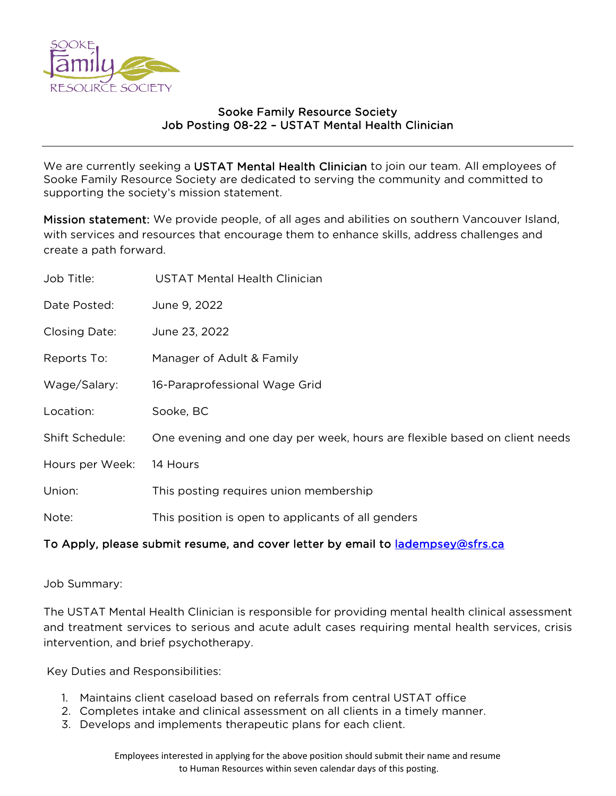

### Sooke Family Resource Society Job Posting 08-22 – USTAT Mental Health Clinician

We are currently seeking a USTAT Mental Health Clinician to join our team. All employees of Sooke Family Resource Society are dedicated to serving the community and committed to supporting the society's mission statement.

Mission statement: We provide people, of all ages and abilities on southern Vancouver Island, with services and resources that encourage them to enhance skills, address challenges and create a path forward.

| Job Title:      | <b>USTAT Mental Health Clinician</b>                                       |
|-----------------|----------------------------------------------------------------------------|
| Date Posted:    | June 9, 2022                                                               |
| Closing Date:   | June 23, 2022                                                              |
| Reports To:     | Manager of Adult & Family                                                  |
| Wage/Salary:    | 16-Paraprofessional Wage Grid                                              |
| Location:       | Sooke, BC                                                                  |
| Shift Schedule: | One evening and one day per week, hours are flexible based on client needs |
| Hours per Week: | 14 Hours                                                                   |
| Union:          | This posting requires union membership                                     |
| Note:           | This position is open to applicants of all genders                         |
|                 |                                                                            |

# To Apply, please submit resume, and cover letter by email to **ladempsey@sfrs.ca**

Job Summary:

The USTAT Mental Health Clinician is responsible for providing mental health clinical assessment and treatment services to serious and acute adult cases requiring mental health services, crisis intervention, and brief psychotherapy.

Key Duties and Responsibilities:

- 1. Maintains client caseload based on referrals from central USTAT office
- 2. Completes intake and clinical assessment on all clients in a timely manner.
- 3. Develops and implements therapeutic plans for each client.